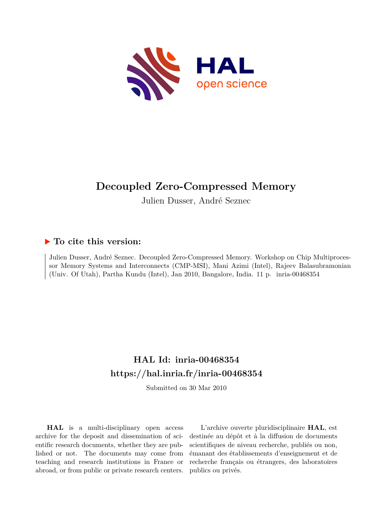

# **Decoupled Zero-Compressed Memory**

Julien Dusser, André Seznec

# **To cite this version:**

Julien Dusser, André Seznec. Decoupled Zero-Compressed Memory. Workshop on Chip Multiprocessor Memory Systems and Interconnects (CMP-MSI), Mani Azimi (Intel), Rajeev Balasubramonian (Univ. Of Utah), Partha Kundu (Intel), Jan 2010, Bangalore, India. 11 p. inria-00468354

# **HAL Id: inria-00468354 <https://hal.inria.fr/inria-00468354>**

Submitted on 30 Mar 2010

**HAL** is a multi-disciplinary open access archive for the deposit and dissemination of scientific research documents, whether they are published or not. The documents may come from teaching and research institutions in France or abroad, or from public or private research centers.

L'archive ouverte pluridisciplinaire **HAL**, est destinée au dépôt et à la diffusion de documents scientifiques de niveau recherche, publiés ou non, émanant des établissements d'enseignement et de recherche français ou étrangers, des laboratoires publics ou privés.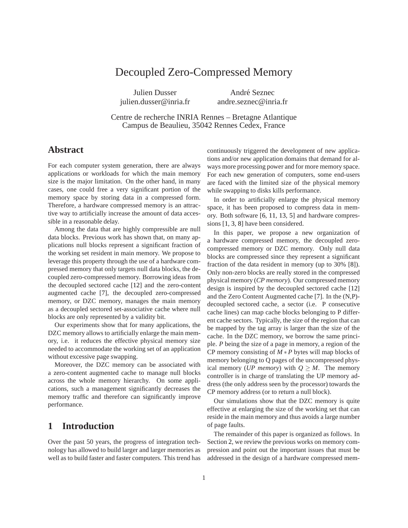# Decoupled Zero-Compressed Memory

Julien Dusser julien.dusser@inria.fr

André Seznec andre.seznec@inria.fr

Centre de recherche INRIA Rennes – Bretagne Atlantique Campus de Beaulieu, 35042 Rennes Cedex, France

### **Abstract**

For each computer system generation, there are always applications or workloads for which the main memory size is the major limitation. On the other hand, in many cases, one could free a very significant portion of the memory space by storing data in a compressed form. Therefore, a hardware compressed memory is an attractive way to artificially increase the amount of data accessible in a reasonable delay.

Among the data that are highly compressible are null data blocks. Previous work has shown that, on many applications null blocks represent a significant fraction of the working set resident in main memory. We propose to leverage this property through the use of a hardware compressed memory that only targets null data blocks, the decoupled zero-compressed memory. Borrowing ideas from the decoupled sectored cache [\[12\]](#page-11-0) and the zero-content augmented cache [\[7\]](#page-10-0), the decoupled zero-compressed memory, or DZC memory, manages the main memory as a decoupled sectored set-associative cache where null blocks are only represented by a validity bit.

Our experiments show that for many applications, the DZC memory allows to artificially enlarge the main memory, i.e. it reduces the effective physical memory size needed to accommodate the working set of an application without excessive page swapping.

Moreover, the DZC memory can be associated with a zero-content augmented cache to manage null blocks across the whole memory hierarchy. On some applications, such a management significantly decreases the memory traffic and therefore can significantly improve performance.

## **1 Introduction**

Over the past 50 years, the progress of integration technology has allowed to build larger and larger memories as well as to build faster and faster computers. This trend has

continuously triggered the development of new applications and/or new application domains that demand for always more processing power and for more memory space. For each new generation of computers, some end-users are faced with the limited size of the physical memory while swapping to disks kills performance.

In order to artificially enlarge the physical memory space, it has been proposed to compress data in memory. Both software [\[6,](#page-10-1) [11,](#page-11-1) [13,](#page-11-2) [5\]](#page-10-2) and hardware compressions [\[1,](#page-10-3) [3,](#page-10-4) [8\]](#page-10-5) have been considered.

In this paper, we propose a new organization of a hardware compressed memory, the decoupled zerocompressed memory or DZC memory. Only null data blocks are compressed since they represent a significant fraction of the data resident in memory (up to 30% [\[8\]](#page-10-5)). Only non-zero blocks are really stored in the compressed physical memory (*CP memory*). Our compressed memory design is inspired by the decoupled sectored cache [\[12\]](#page-11-0) and the Zero Content Augmented cache [\[7\]](#page-10-0). In the (N,P) decoupled sectored cache, a sector (i.e. P consecutive cache lines) can map cache blocks belonging to P different cache sectors. Typically, the size of the region that can be mapped by the tag array is larger than the size of the cache. In the DZC memory, we borrow the same principle. *P* being the size of a page in memory, a region of the CP memory consisting of *M* ∗*P* bytes will map blocks of memory belonging to Q pages of the uncompressed physical memory (*UP memory*) with  $Q \geq M$ . The memory controller is in charge of translating the UP memory address (the only address seen by the processor) towards the CP memory address (or to return a null block).

Our simulations show that the DZC memory is quite effective at enlarging the size of the working set that can reside in the main memory and thus avoids a large number of page faults.

The remainder of this paper is organized as follows. In Section [2,](#page-2-0) we review the previous works on memory compression and point out the important issues that must be addressed in the design of a hardware compressed mem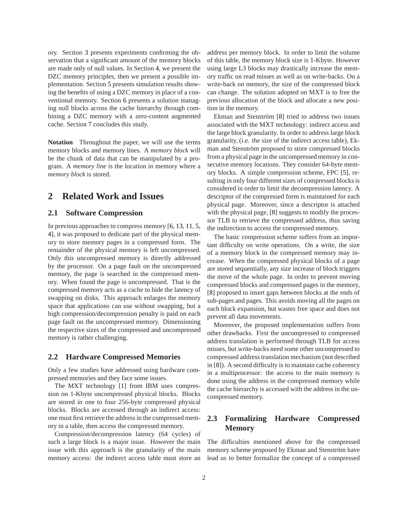ory. Section [3](#page-3-0) presents experiments confirming the observation that a significant amount of the memory blocks are made only of null values. In Section [4,](#page-3-1) we present the DZC memory principles, then we present a possible implementation. Section [5](#page-6-0) presents simulation results showing the benefits of using a DZC memory in place of a conventional memory. Section [6](#page-8-0) presents a solution managing null blocks across the cache hierarchy through combining a DZC memory with a zero-content augmented cache. Section [7](#page-9-0) concludes this study.

**Notation** Throughout the paper, we will use the terms memory blocks and memory lines. A *memory block* will be the chunk of data that can be manipulated by a program. A *memory line* is the location in memory where a *memory block* is stored.

### <span id="page-2-0"></span>**2 Related Work and Issues**

#### **2.1 Software Compression**

In previous approaches to compress memory [\[6,](#page-10-1) [13,](#page-11-2) [11,](#page-11-1) [5,](#page-10-2) [4\]](#page-10-6), it was proposed to dedicate part of the physical memory to store memory pages in a compressed form. The remainder of the physical memory is left uncompressed. Only this uncompressed memory is directly addressed by the processor. On a page fault on the uncompressed memory, the page is searched in the compressed memory. When found the page is uncompressed. That is the compressed memory acts as a cache to hide the latency of swapping on disks. This approach enlarges the memory space that applications can use without swapping, but a high compression/decompression penalty is paid on each page fault on the uncompressed memory. Dimensioning the respective sizes of the compressed and uncompressed memory is rather challenging.

#### **2.2 Hardware Compressed Memories**

Only a few studies have addressed using hardware compressed memories and they face some issues.

The MXT technology [\[1\]](#page-10-3) from IBM uses compression on 1-Kbyte uncompressed physical blocks. Blocks are stored in one to four 256-byte compressed physical blocks. Blocks are accessed through an indirect access: one must first retrieve the address in the compressed memory in a table, then access the compressed memory.

Compression/decompression latency (64 cycles) of such a large block is a major issue. However the main issue with this approach is the granularity of the main memory access: the indirect access table must store an

address per memory block. In order to limit the volume of this table, the memory block size is 1-Kbyte. However using large L3 blocks may drastically increase the memory traffic on read misses as well as on write-backs. On a write-back on memory, the size of the compressed block can change. The solution adopted on MXT is to free the previous allocation of the block and allocate a new position in the memory.

Ekman and Stenström [\[8\]](#page-10-5) tried to address two issues associated with the MXT technology: indirect access and the large block granularity. In order to address large block granularity, (i.e. the size of the indirect access table), Ekman and Stenström proposed to store compressed blocks from a physical page in the uncompressed memory in consecutive memory locations. They consider 64-byte memory blocks. A simple compression scheme, FPC [\[5\]](#page-10-2), resulting in only four different sizes of compressed blocks is considered in order to limit the decompression latency. A descriptor of the compressed form is maintained for each physical page. Moreover, since a descriptor is attached with the physical page, [\[8\]](#page-10-5) suggests to modify the processor TLB to retrieve the compressed address, thus saving the indirection to access the compressed memory.

The basic compression scheme suffers from an important difficulty on write operations. On a write, the size of a memory block in the compressed memory may increase. When the compressed physical blocks of a page are stored sequentially, any size increase of block triggers the move of the whole page. In order to prevent moving compressed blocks and compressed pages in the memory, [\[8\]](#page-10-5) proposed to insert gaps between blocks at the ends of sub-pages and pages. This avoids moving all the pages on each block expansion, but wastes free space and does not prevent all data movements.

Moreover, the proposed implementation suffers from other drawbacks. First the uncompressed to compressed address translation is performed through TLB for access misses, but write-backs need some other uncompressed to compressed address translation mechanism (not described in [\[8\]](#page-10-5)). A second difficulty is to maintain cache coherency in a multiprocessor: the access to the main memory is done using the address in the compressed memory while the cache hierarchy is accessed with the address in the uncompressed memory.

#### **2.3 Formalizing Hardware Compressed Memory**

The difficulties mentioned above for the compressed memory scheme proposed by Ekman and Stenström have lead us to better formalize the concept of a compressed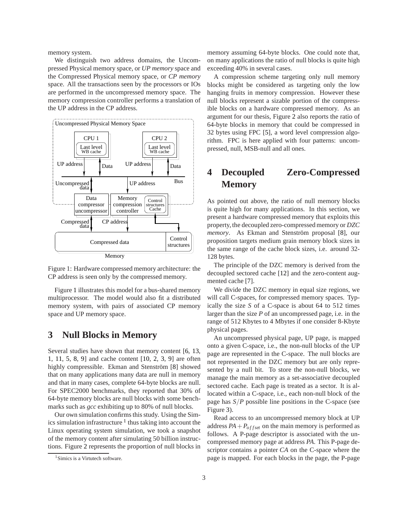memory system.

We distinguish two address domains, the Uncompressed Physical memory space, or *UP memory* space and the Compressed Physical memory space, or *CP memory* space. All the transactions seen by the processors or IOs are performed in the uncompressed memory space. The memory compression controller performs a translation of the UP address in the CP address.

<span id="page-3-2"></span>



Figure [1](#page-3-2) illustrates this model for a bus-shared memory multiprocessor. The model would also fit a distributed memory system, with pairs of associated CP memory space and UP memory space.

## <span id="page-3-0"></span>**3 Null Blocks in Memory**

Several studies have shown that memory content [\[6,](#page-10-1) [13,](#page-11-2) [1,](#page-10-3) [11,](#page-11-1) [5,](#page-10-2) [8,](#page-10-5) [9\]](#page-10-7) and cache content [\[10,](#page-11-3) [2,](#page-10-8) [3,](#page-10-4) [9\]](#page-10-7) are often highly compressible. Ekman and Stenström [\[8\]](#page-10-5) showed that on many applications many data are null in memory and that in many cases, complete 64-byte blocks are null. For SPEC2000 benchmarks, they reported that 30% of 64-byte memory blocks are null blocks with some benchmarks such as *gcc* exhibiting up to 80% of null blocks.

Our own simulation confirms this study. Using the Simics simulation infrastructure <sup>1</sup> thus taking into account the Linux operating system simulation, we took a snapshot of the memory content after simulating 50 billion instructions. Figure [2](#page-4-0) represents the proportion of null blocks in

memory assuming 64-byte blocks. One could note that, on many applications the ratio of null blocks is quite high exceeding 40% in several cases.

A compression scheme targeting only null memory blocks might be considered as targeting only the low hanging fruits in memory compression. However these null blocks represent a sizable portion of the compressible blocks on a hardware compressed memory. As an argument for our thesis, Figure [2](#page-4-0) also reports the ratio of 64-byte blocks in memory that could be compressed in 32 bytes using FPC [\[5\]](#page-10-2), a word level compression algorithm. FPC is here applied with four patterns: uncompressed, null, MSB-null and all ones.

# <span id="page-3-1"></span>**4 Decoupled Zero-Compressed Memory**

As pointed out above, the ratio of null memory blocks is quite high for many applications. In this section, we present a hardware compressed memory that exploits this property, the decoupled zero-compressed memory or *DZC memory*. As Ekman and Stenström proposal [\[8\]](#page-10-5), our proposition targets medium grain memory block sizes in the same range of the cache block sizes, i.e. around 32- 128 bytes.

The principle of the DZC memory is derived from the decoupled sectored cache [\[12\]](#page-11-0) and the zero-content augmented cache [\[7\]](#page-10-0).

We divide the DZC memory in equal size regions, we will call C-spaces, for compressed memory spaces. Typically the size *S* of a C-space is about 64 to 512 times larger than the size *P* of an uncompressed page, i.e. in the range of 512 Kbytes to 4 Mbytes if one consider 8-Kbyte physical pages.

An uncompressed physical page, UP page, is mapped onto a given C-space, i.e., the non-null blocks of the UP page are represented in the C-space. The null blocks are not represented in the DZC memory but are only represented by a null bit. To store the non-null blocks, we manage the main memory as a set-associative decoupled sectored cache. Each page is treated as a sector. It is allocated within a C-space, i.e., each non-null block of the page has  $S/P$  possible line positions in the C-space (see Figure [3\)](#page-4-1).

Read access to an uncompressed memory block at UP address  $PA + P_{offset}$  on the main memory is performed as follows. A P-page descriptor is associated with the uncompressed memory page at address *PA*. This P-page descriptor contains a pointer *CA* on the C-space where the page is mapped. For each blocks in the page, the P-page

<sup>&</sup>lt;sup>1</sup>Simics is a Virtutech software.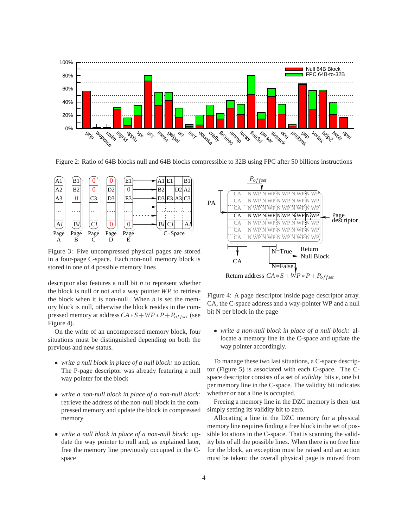<span id="page-4-0"></span>

Figure 2: Ratio of 64B blocks null and 64B blocks compressible to 32B using FPC after 50 billions instructions

<span id="page-4-1"></span>

Figure 3: Five uncompressed physical pages are stored in a four-page C-space. Each non-null memory block is stored in one of 4 possible memory lines

descriptor also features a null bit *n* to represent whether the block is null or not and a way pointer *WP* to retrieve the block when it is non-null. When *n* is set the memory block is null, otherwise the block resides in the compressed memory at address  $CA * S + WP * P + P_{offset}$  (see Figure [4\)](#page-4-2).

On the write of an uncompressed memory block, four situations must be distinguished depending on both the previous and new status.

- *write a null block in place of a null block:* no action. The P-page descriptor was already featuring a null way pointer for the block
- *write a non-null block in place of a non-null block:* retrieve the address of the non-null block in the compressed memory and update the block in compressed memory
- *write a null block in place of a non-null block:* update the way pointer to null and, as explained later, free the memory line previously occupied in the Cspace

<span id="page-4-2"></span>

Return address  $CA * S + WP * P + P_{offset}$ 

Figure 4: A page descriptor inside page descriptor array. CA, the C-space address and a way-pointer WP and a null bit N per block in the page

• *write a non-null block in place of a null block:* allocate a memory line in the C-space and update the way pointer accordingly.

To manage these two last situations, a C-space descriptor (Figure [5\)](#page-5-0) is associated with each C-space. The Cspace descriptor consists of a set of *validity* bits *v*, one bit per memory line in the C-space. The validity bit indicates whether or not a line is occupied.

Freeing a memory line in the DZC memory is then just simply setting its validity bit to zero.

Allocating a line in the DZC memory for a physical memory line requires finding a free block in the set of possible locations in the C-space. That is scanning the validity bits of all the possible lines. When there is no free line for the block, an exception must be raised and an action must be taken: the overall physical page is moved from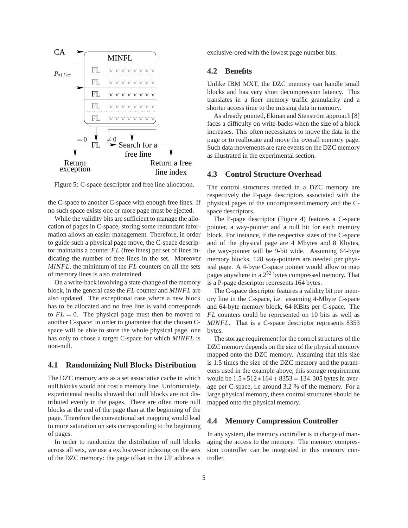<span id="page-5-0"></span>

Figure 5: C-space descriptor and free line allocation.

the C-space to another C-space with enough free lines. If no such space exists one or more page must be ejected.

While the validity bits are sufficient to manage the allocation of pages in C-space, storing some redundant information allows an easier management. Therefore, in order to guide such a physical page move, the C-space descriptor maintains a counter *FL* (free lines) per set of lines indicating the number of free lines in the set. Moreover *MINFL*, the minimum of the *FL* counters on all the sets of memory lines is also maintained.

On a write-back involving a state change of the memory block, in the general case the *FL* counter and *MINFL* are also updated. The exceptional case where a new block has to be allocated and no free line is valid corresponds to  $FL = 0$ . The physical page must then be moved to another C-space: in order to guarantee that the chosen Cspace will be able to store the whole physical page, one has only to chose a target C-space for which *MINFL* is non-null.

#### **4.1 Randomizing Null Blocks Distribution**

The DZC memory acts as a set associative cache in which null blocks would not cost a memory line. Unfortunately, experimental results showed that null blocks are not distributed evenly in the pages. There are often more null blocks at the end of the page than at the beginning of the page. Therefore the conventional set mapping would lead to more saturation on sets corresponding to the beginning of pages.

In order to randomize the distribution of null blocks across all sets, we use a exclusive-or indexing on the sets of the DZC memory: the page offset in the UP address is exclusive-ored with the lowest page number bits.

#### **4.2 Benefits**

Unlike IBM MXT, the DZC memory can handle small blocks and has very short decompression latency. This translates in a finer memory traffic granularity and a shorter access time to the missing data in memory.

As already pointed, Ekman and Stenström approach [\[8\]](#page-10-5) faces a difficulty on write-backs when the size of a block increases. This often necessitates to move the data in the page or to reallocate and move the overall memory page. Such data movements are rare events on the DZC memory as illustrated in the experimental section.

#### **4.3 Control Structure Overhead**

The control structures needed in a DZC memory are respectively the P-page descriptors associated with the physical pages of the uncompressed memory and the Cspace descriptors.

The P-page descriptor (Figure [4\)](#page-4-2) features a C-space pointer, a way-pointer and a null bit for each memory block. For instance, if the respective sizes of the C-space and of the physical page are 4 Mbytes and 8 Kbytes, the way-pointer will be 9-bit wide. Assuming 64-byte memory blocks, 128 way-pointers are needed per physical page. A 4-byte C-space pointer would allow to map pages anywhere in a 2<sup>52</sup> bytes compressed memory. That is a P-page descriptor represents 164 bytes.

The C-space descriptor features a validity bit per memory line in the C-space, i.e. assuming 4-Mbyte C-space and 64-byte memory block, 64 KBits per C-space. The *FL* counters could be represented on 10 bits as well as *MINFL*. That is a C-space descriptor represents 8353 bytes.

The storage requirement for the control structures of the DZC memory depends on the size of the physical memory mapped onto the DZC memory. Assuming that this size is 1.5 times the size of the DZC memory and the parameters used in the example above, this storage requirement would be  $1.5 * 512 * 164 + 8353 = 134,305$  bytes in average per C-space, i.e around 3.2 % of the memory. For a large physical memory, these control structures should be mapped onto the physical memory.

#### **4.4 Memory Compression Controller**

In any system, the memory controller is in charge of managing the access to the memory. The memory compression controller can be integrated in this memory controller.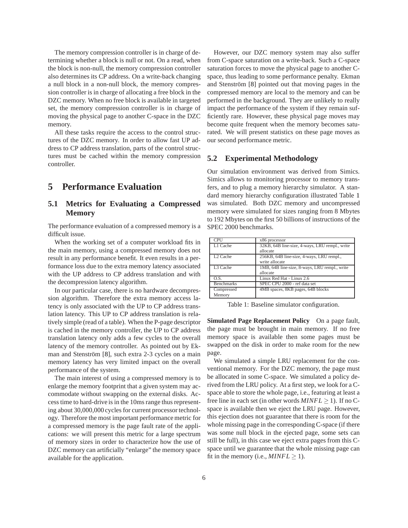The memory compression controller is in charge of determining whether a block is null or not. On a read, when the block is non-null, the memory compression controller also determines its CP address. On a write-back changing a null block in a non-null block, the memory compression controller is in charge of allocating a free block in the DZC memory. When no free block is available in targeted set, the memory compression controller is in charge of moving the physical page to another C-space in the DZC memory.

All these tasks require the access to the control structures of the DZC memory. In order to allow fast UP address to CP address translation, parts of the control structures must be cached within the memory compression controller.

### <span id="page-6-0"></span>**5 Performance Evaluation**

#### **5.1 Metrics for Evaluating a Compressed Memory**

The performance evaluation of a compressed memory is a difficult issue.

When the working set of a computer workload fits in the main memory, using a compressed memory does not result in any performance benefit. It even results in a performance loss due to the extra memory latency associated with the UP address to CP address translation and with the decompression latency algorithm.

In our particular case, there is no hardware decompression algorithm. Therefore the extra memory access latency is only associated with the UP to CP address translation latency. This UP to CP address translation is relatively simple (read of a table). When the P-page descriptor is cached in the memory controller, the UP to CP address translation latency only adds a few cycles to the overall latency of the memory controller. As pointed out by Ek-man and Stenström [\[8\]](#page-10-5), such extra 2-3 cycles on a main memory latency has very limited impact on the overall performance of the system.

The main interest of using a compressed memory is to enlarge the memory footprint that a given system may accommodate without swapping on the external disks. Access time to hard-drive is in the 10ms range thus representing about 30,000,000 cycles for current processor technology. Therefore the most important performance metric for a compressed memory is the page fault rate of the applications: we will present this metric for a large spectrum of memory sizes in order to characterize how the use of DZC memory can artificially "enlarge" the memory space available for the application.

However, our DZC memory system may also suffer from C-space saturation on a write-back. Such a C-space saturation forces to move the physical page to another Cspace, thus leading to some performance penalty. Ekman and Stenström [\[8\]](#page-10-5) pointed out that moving pages in the compressed memory are local to the memory and can be performed in the background. They are unlikely to really impact the performance of the system if they remain sufficiently rare. However, these physical page moves may become quite frequent when the memory becomes saturated. We will present statistics on these page moves as our second performance metric.

#### **5.2 Experimental Methodology**

Our simulation environment was derived from Simics. Simics allows to monitoring processor to memory transfers, and to plug a memory hierarchy simulator. A standard memory hierarchy configuration illustrated Table [1](#page-6-1) was simulated. Both DZC memory and uncompressed memory were simulated for sizes ranging from 8 Mbytes to 192 Mbytes on the first 50 billions of instructions of the SPEC 2000 benchmarks.

<span id="page-6-1"></span>

| <b>CPU</b>           | x86 processor                                  |  |
|----------------------|------------------------------------------------|--|
| L1 Cache             | 32KB, 64B line-size, 4-ways, LRU rempl., write |  |
|                      | allocate                                       |  |
| $L2$ Cache           | 256KB, 64B line-size, 4-ways, LRU rempl.,      |  |
|                      | write allocate                                 |  |
| L <sub>3</sub> Cache | 1MB, 64B line-size, 8-ways, LRU rempl., write  |  |
|                      | allocate                                       |  |
| O.S.                 | Linux Red Hat - Linux 2.6                      |  |
| <b>Benchmarks</b>    | SPEC CPU 2000 - ref data set                   |  |
| Compressed           | 4MB spaces, 8KB pages, 64B blocks              |  |
| Memory               |                                                |  |

Table 1: Baseline simulator configuration.

**Simulated Page Replacement Policy** On a page fault, the page must be brought in main memory. If no free memory space is available then some pages must be swapped on the disk in order to make room for the new page.

We simulated a simple LRU replacement for the conventional memory. For the DZC memory, the page must be allocated in some C-space. We simulated a policy derived from the LRU policy. At a first step, we look for a Cspace able to store the whole page, i.e., featuring at least a free line in each set (in other words  $MINFL > 1$ ). If no Cspace is available then we eject the LRU page. However, this ejection does not guarantee that there is room for the whole missing page in the corresponding C-space (if there was some null block in the ejected page, some sets can still be full), in this case we eject extra pages from this Cspace until we guarantee that the whole missing page can fit in the memory (i.e.,  $MINFL \geq 1$ ).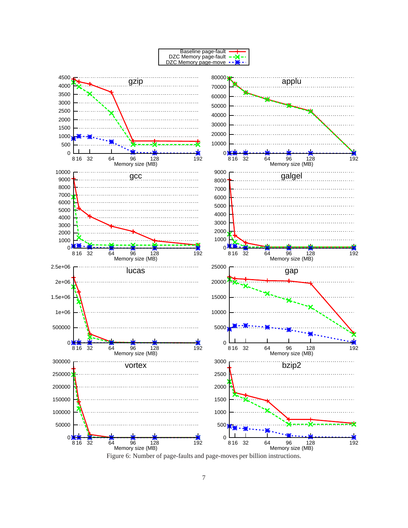<span id="page-7-0"></span>

Figure 6: Number of page-faults and page-moves per billion instructions.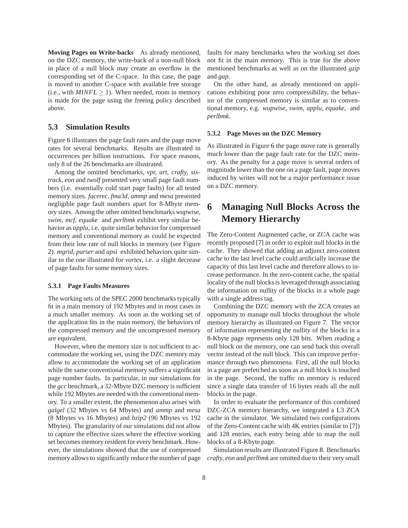**Moving Pages on Write-backs** As already mentioned, on the DZC memory, the write-back of a non-null block in place of a null block may create an overflow in the corresponding set of the C-space. In this case, the page is moved to another C-space with available free storage (i.e., with  $MINFL > 1$ ). When needed, room in memory is made for the page using the freeing policy described above.

#### **5.3 Simulation Results**

Figure [6](#page-7-0) illustrates the page fault rates and the page move rates for several benchmarks. Results are illustrated in occurrences per billion instructions. For space reasons, only 8 of the 26 benchmarks are illustrated.

Among the omitted benchmarks, *vpr, art, crafty, sixtrack, eon* and *twolf* presented very small page fault numbers (i.e. essentially cold start page faults) for all tested memory sizes. *facerec*, *fma3d*, *ammp* and *mesa* presented negligible page fault numbers apart for 8-Mbyte memory sizes. Among the other omitted benchmarks *wupwise, swim, mcf, equake* and *perlbmk* exhibit very similar behavior as *applu*, i.e. quite similar behavior for compressed memory and conventional memory as could be expected from their low rate of null blocks in memory (see Figure [2\)](#page-4-0). *mgrid, parser* and *apsi* exhibited behaviors quite similar to the one illustrated for *vortex*, i.e. a slight decrease of page faults for some memory sizes.

#### **5.3.1 Page Faults Measures**

The working sets of the SPEC 2000 benchmarks typically fit in a main memory of 192 Mbytes and in most cases in a much smaller memory. As soon as the working set of the application fits in the main memory, the behaviors of the compressed memory and the uncompressed memory are equivalent.

However, when the memory size is not sufficient to accommodate the working set, using the DZC memory may allow to accommodate the working set of an application while the same conventional memory suffers a significant page number faults. In particular, in our simulations for the *gcc* benchmark, a 32-Mbyte DZC memory is sufficient while 192 Mbytes are needed with the conventional memory. To a smaller extent, the phenomenon also arises with *galgel* (32 Mbytes vs 64 Mbytes) and *ammp* and *mesa* (8 Mbytes vs 16 Mbytes) and *bzip2* (96 Mbytes vs 192 Mbytes). The granularity of our simulations did not allow to capture the effective sizes where the effective working set becomes memory resident for every benchmark. However, the simulations showed that the use of compressed memory allows to significantly reduce the number of page

faults for many benchmarks when the working set does not fit in the main memory. This is true for the above mentioned benchmarks as well as on the illustrated *gzip* and *gap*.

On the other hand, as already mentioned on applications exhibiting poor zero compressibility, the behavior of the compressed memory is similar as to conventional memory, e.g. *wupwise, swim, applu, equake,* and *perlbmk*.

#### **5.3.2 Page Moves on the DZC Memory**

As illustrated in Figure [6](#page-7-0) the page move rate is generally much lower than the page fault rate for the DZC memory. As the penalty for a page move is several orders of magnitude lower than the one on a page fault, page moves induced by writes will not be a major performance issue on a DZC memory.

# <span id="page-8-0"></span>**6 Managing Null Blocks Across the Memory Hierarchy**

The Zero-Content Augmented cache, or ZCA cache was recently proposed [\[7\]](#page-10-0) in order to exploit null blocks in the cache. They showed that adding an adjunct zero-content cache to the last level cache could artificially increase the capacity of this last level cache and therefore allows to increase performance. In the zero-content cache, the spatial locality of the null blocks is leveraged through associating the information on nullity of the blocks in a whole page with a single address tag.

Combining the DZC memory with the ZCA creates an opportunity to manage null blocks throughout the whole memory hierarchy as illustrated on Figure [7.](#page-9-1) The vector of information representing the nullity of the blocks in a 8-Kbyte page represents only 128 bits. When reading a null block on the memory, one can send back this overall vector instead of the null block. This can improve performance through two phenomena. First, all the null blocks in a page are prefetched as soon as a null block is touched in the page. Second, the traffic on memory is reduced since a single data transfer of 16 bytes reads all the null blocks in the page.

In order to evaluate the performance of this combined DZC-ZCA memory hierarchy, we integrated a L3 ZCA cache in the simulator. We simulated two configurations of the Zero-Content cache with 4K entries (similar to [\[7\]](#page-10-0)) and 128 entries, each entry being able to map the null blocks of a 8-Kbyte page.

Simulation results are illustrated Figure [8.](#page-9-2) Benchmarks *crafty, eon* and *perlbmk* are omitted due to their very small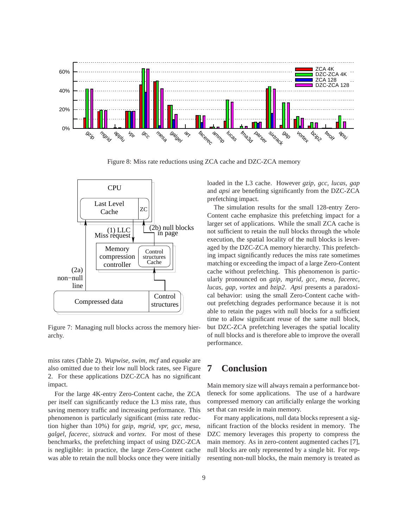<span id="page-9-2"></span>

Figure 8: Miss rate reductions using ZCA cache and DZC-ZCA memory

<span id="page-9-1"></span>

Figure 7: Managing null blocks across the memory hierarchy.

miss rates (Table [2\)](#page-10-9). *Wupwise, swim, mcf* and *equake* are also omitted due to their low null block rates, see Figure [2.](#page-4-0) For these applications DZC-ZCA has no significant impact.

For the large 4K-entry Zero-Content cache, the ZCA per itself can significantly reduce the L3 miss rate, thus saving memory traffic and increasing performance. This phenomenon is particularly significant (miss rate reduction higher than 10%) for *gzip, mgrid, vpr, gcc, mesa, galgel, facerec, sixtrack* and *vortex*. For most of these benchmarks, the prefetching impact of using DZC-ZCA is negligible: in practice, the large Zero-Content cache was able to retain the null blocks once they were initially

loaded in the L3 cache. However *gzip, gcc, lucas, gap* and *apsi* are benefiting significantly from the DZC-ZCA prefetching impact.

The simulation results for the small 128-entry Zero-Content cache emphasize this prefetching impact for a larger set of applications. While the small ZCA cache is not sufficient to retain the null blocks through the whole execution, the spatial locality of the null blocks is leveraged by the DZC-ZCA memory hierarchy. This prefetching impact significantly reduces the miss rate sometimes matching or exceeding the impact of a large Zero-Content cache without prefetching. This phenomenon is particularly pronounced on *gzip, mgrid, gcc, mesa, facerec, lucas, gap, vortex* and *bzip2*. *Apsi* presents a paradoxical behavior: using the small Zero-Content cache without prefetching degrades performance because it is not able to retain the pages with null blocks for a sufficient time to allow significant reuse of the same null block, but DZC-ZCA prefetching leverages the spatial locality of null blocks and is therefore able to improve the overall performance.

# <span id="page-9-0"></span>**7 Conclusion**

Main memory size will always remain a performance bottleneck for some applications. The use of a hardware compressed memory can artificially enlarge the working set that can reside in main memory.

For many applications, null data blocks represent a significant fraction of the blocks resident in memory. The DZC memory leverages this property to compress the main memory. As in zero-content augmented caches [\[7\]](#page-10-0), null blocks are only represented by a single bit. For representing non-null blocks, the main memory is treated as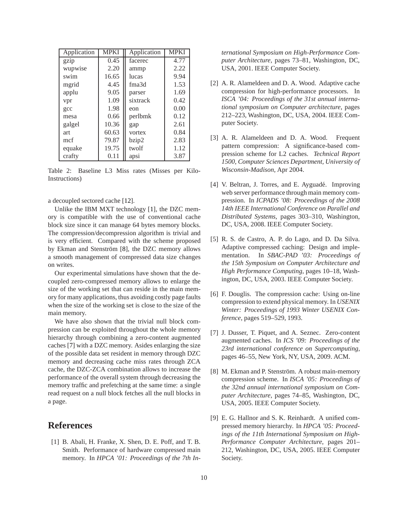<span id="page-10-9"></span>

| Application | <b>MPKI</b> | Application       | <b>MPKI</b> |
|-------------|-------------|-------------------|-------------|
| gzip        | 0.45        | facerec           | 4.77        |
| wupwise     | 2.20        | ammp              | 2.22        |
| swim        | 16.65       | lucas             | 9.94        |
| mgrid       | 4.45        | fma <sub>3d</sub> | 1.53        |
| applu       | 9.05        | parser            | 1.69        |
| vpr         | 1.09        | sixtrack          | 0.42        |
| gcc         | 1.98        | eon               | 0.00        |
| mesa        | 0.66        | perlbmk           | 0.12        |
| galgel      | 10.36       | gap               | 2.61        |
| art         | 60.63       | vortex            | 0.84        |
| mcf         | 79.87       | bzip2             | 2.83        |
| equake      | 19.75       | twolf             | 1.12        |
| crafty      | 0.11        | apsi              | 3.87        |

Table 2: Baseline L3 Miss rates (Misses per Kilo-Instructions)

a decoupled sectored cache [\[12\]](#page-11-0).

Unlike the IBM MXT technology [\[1\]](#page-10-3), the DZC memory is compatible with the use of conventional cache block size since it can manage 64 bytes memory blocks. The compression/decompression algorithm is trivial and is very efficient. Compared with the scheme proposed by Ekman and Stenström [\[8\]](#page-10-5), the DZC memory allows a smooth management of compressed data size changes on writes.

Our experimental simulations have shown that the decoupled zero-compressed memory allows to enlarge the size of the working set that can reside in the main memory for many applications, thus avoiding costly page faults when the size of the working set is close to the size of the main memory.

We have also shown that the trivial null block compression can be exploited throughout the whole memory hierarchy through combining a zero-content augmented caches [\[7\]](#page-10-0) with a DZC memory. Asides enlarging the size of the possible data set resident in memory through DZC memory and decreasing cache miss rates through ZCA cache, the DZC-ZCA combination allows to increase the performance of the overall system through decreasing the memory traffic and prefetching at the same time: a single read request on a null block fetches all the null blocks in a page.

## <span id="page-10-3"></span>**References**

[1] B. Abali, H. Franke, X. Shen, D. E. Poff, and T. B. Smith. Performance of hardware compressed main memory. In *HPCA '01: Proceedings of the 7th In-* *ternational Symposium on High-Performance Computer Architecture*, pages 73–81, Washington, DC, USA, 2001. IEEE Computer Society.

- <span id="page-10-8"></span>[2] A. R. Alameldeen and D. A. Wood. Adaptive cache compression for high-performance processors. In *ISCA '04: Proceedings of the 31st annual international symposium on Computer architecture*, pages 212–223, Washington, DC, USA, 2004. IEEE Computer Society.
- <span id="page-10-4"></span>[3] A. R. Alameldeen and D. A. Wood. Frequent pattern compression: A significance-based compression scheme for L2 caches. *Technical Report 1500, Computer Sciences Department, University of Wisconsin-Madison*, Apr 2004.
- <span id="page-10-6"></span>[4] V. Beltran, J. Torres, and E. Ayguadé. Improving web server performance through main memory compression. In *ICPADS '08: Proceedings of the 2008 14th IEEE International Conference on Parallel and Distributed Systems*, pages 303–310, Washington, DC, USA, 2008. IEEE Computer Society.
- <span id="page-10-2"></span>[5] R. S. de Castro, A. P. do Lago, and D. Da Silva. Adaptive compressed caching: Design and implementation. In *SBAC-PAD '03: Proceedings of the 15th Symposium on Computer Architecture and High Performance Computing*, pages 10–18, Washington, DC, USA, 2003. IEEE Computer Society.
- <span id="page-10-1"></span>[6] F. Douglis. The compression cache: Using on-line compression to extend physical memory. In *USENIX Winter: Proceedings of 1993 Winter USENIX Conference*, pages 519–529, 1993.
- <span id="page-10-0"></span>[7] J. Dusser, T. Piquet, and A. Seznec. Zero-content augmented caches. In *ICS '09: Proceedings of the 23rd international conference on Supercomputing*, pages 46–55, New York, NY, USA, 2009. ACM.
- <span id="page-10-5"></span>[8] M. Ekman and P. Stenström. A robust main-memory compression scheme. In *ISCA '05: Proceedings of the 32nd annual international symposium on Computer Architecture*, pages 74–85, Washington, DC, USA, 2005. IEEE Computer Society.
- <span id="page-10-7"></span>[9] E. G. Hallnor and S. K. Reinhardt. A unified compressed memory hierarchy. In *HPCA '05: Proceedings of the 11th International Symposium on High-Performance Computer Architecture*, pages 201– 212, Washington, DC, USA, 2005. IEEE Computer Society.